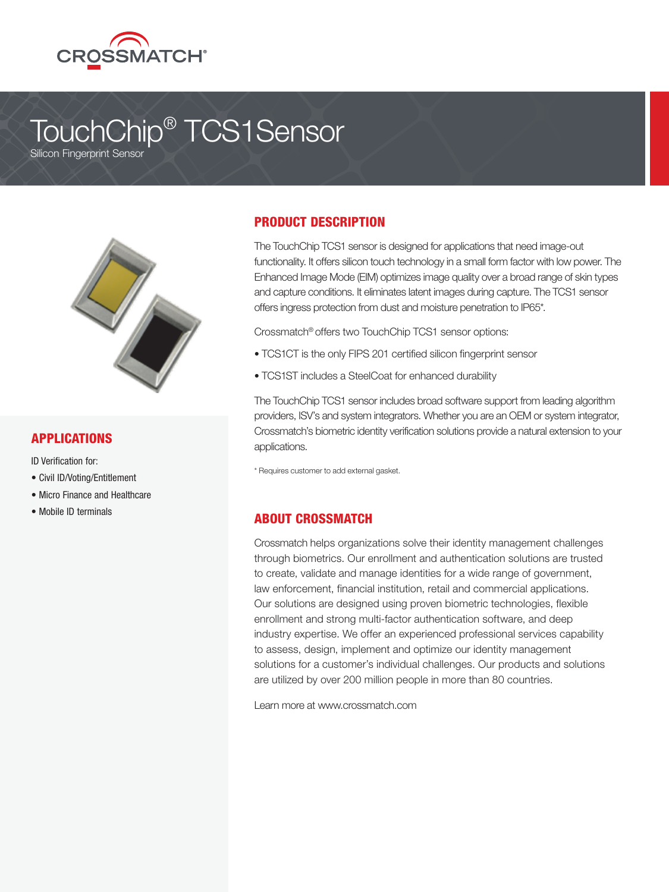

# TouchChip® TCS1Sensor

Silicon Fingerprint Sensor



#### APPLICATIONS

ID Verification for:

- Civil ID/Voting/Entitlement
- Micro Finance and Healthcare
- Mobile ID terminals

## PRODUCT DESCRIPTION

The TouchChip TCS1 sensor is designed for applications that need image-out functionality. It offers silicon touch technology in a small form factor with low power. The Enhanced Image Mode (EIM) optimizes image quality over a broad range of skin types and capture conditions. It eliminates latent images during capture. The TCS1 sensor offers ingress protection from dust and moisture penetration to IP65\*.

Crossmatch® offers two TouchChip TCS1 sensor options:

- TCS1CT is the only FIPS 201 certified silicon fingerprint sensor
- TCS1ST includes a SteelCoat for enhanced durability

The TouchChip TCS1 sensor includes broad software support from leading algorithm providers, ISV's and system integrators. Whether you are an OEM or system integrator, Crossmatch's biometric identity verification solutions provide a natural extension to your applications.

\* Requires customer to add external gasket.

## ABOUT CROSSMATCH

Crossmatch helps organizations solve their identity management challenges through biometrics. Our enrollment and authentication solutions are trusted to create, validate and manage identities for a wide range of government, law enforcement, financial institution, retail and commercial applications. Our solutions are designed using proven biometric technologies, flexible enrollment and strong multi-factor authentication software, and deep industry expertise. We offer an experienced professional services capability to assess, design, implement and optimize our identity management solutions for a customer's individual challenges. Our products and solutions are utilized by over 200 million people in more than 80 countries.

Learn more at www.crossmatch.com